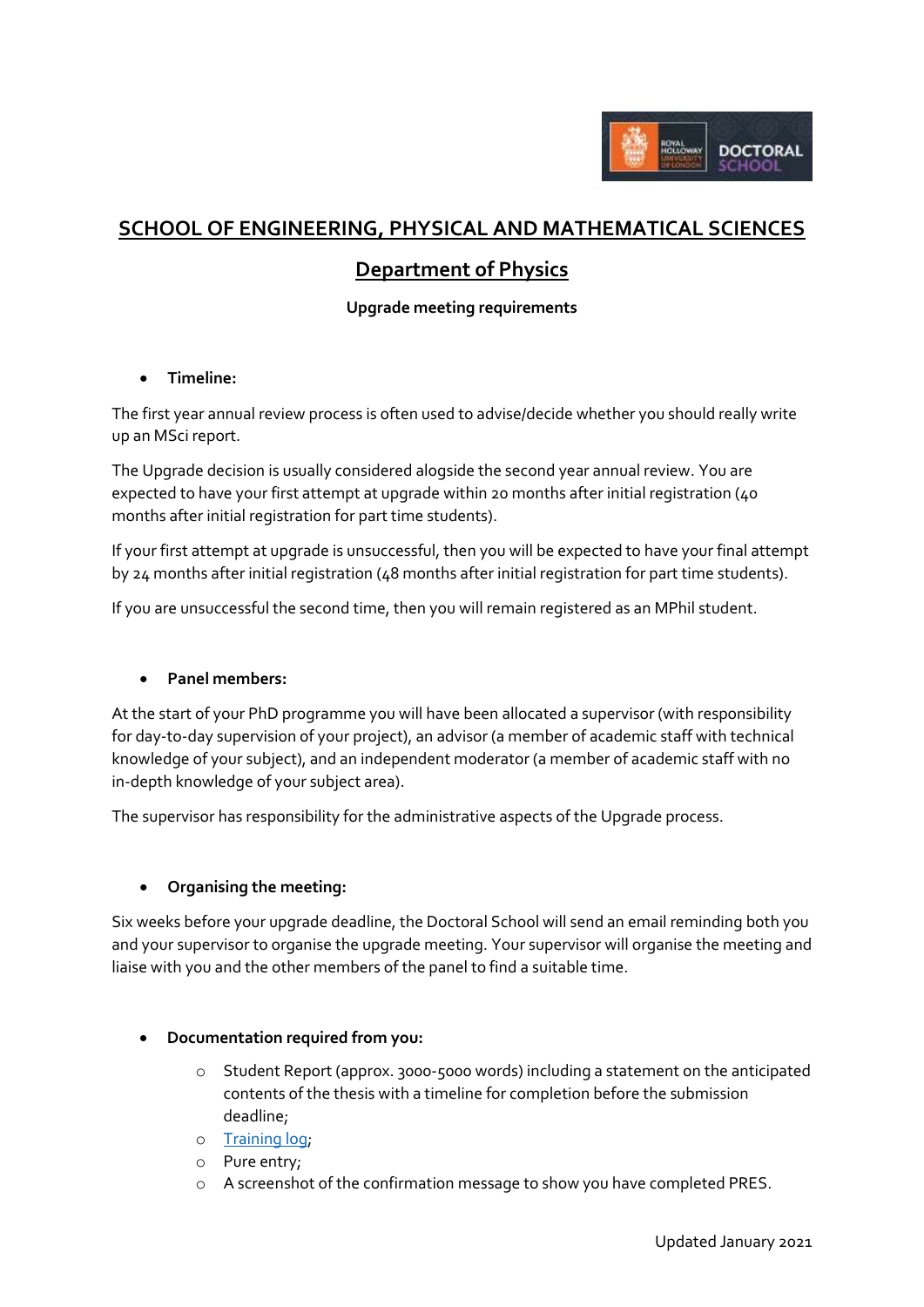

# **SCHOOL OF ENGINEERING, PHYSICAL AND MATHEMATICAL SCIENCES**

## **Department of Physics**

## **Upgrade meeting requirements**

## **Timeline:**

The first year annual review process is often used to advise/decide whether you should really write up an MSci report.

The Upgrade decision is usually considered alogside the second year annual review. You are expected to have your first attempt at upgrade within 20 months after initial registration (40 months after initial registration for part time students).

If your first attempt at upgrade is unsuccessful, then you will be expected to have your final attempt by 24 months after initial registration (48 months after initial registration for part time students).

If you are unsuccessful the second time, then you will remain registered as an MPhil student.

#### **Panel members:**

At the start of your PhD programme you will have been allocated a supervisor (with responsibility for day-to-day supervision of your project), an advisor (a member of academic staff with technical knowledge of your subject), and an independent moderator (a member of academic staff with no in-depth knowledge of your subject area).

The supervisor has responsibility for the administrative aspects of the Upgrade process.

## **Organising the meeting:**

Six weeks before your upgrade deadline, the Doctoral School will send an email reminding both you and your supervisor to organise the upgrade meeting. Your supervisor will organise the meeting and liaise with you and the other members of the panel to find a suitable time.

#### **Documentation required from you:**

- $\circ$  Student Report (approx. 3000-5000 words) including a statement on the anticipated contents of the thesis with a timeline for completion before the submission deadline;
- o [Training log;](https://intranet.royalholloway.ac.uk/doctoral-school/assets/docs/doc/new-research-log.docx)
- o Pure entry;
- o A screenshot of the confirmation message to show you have completed PRES.